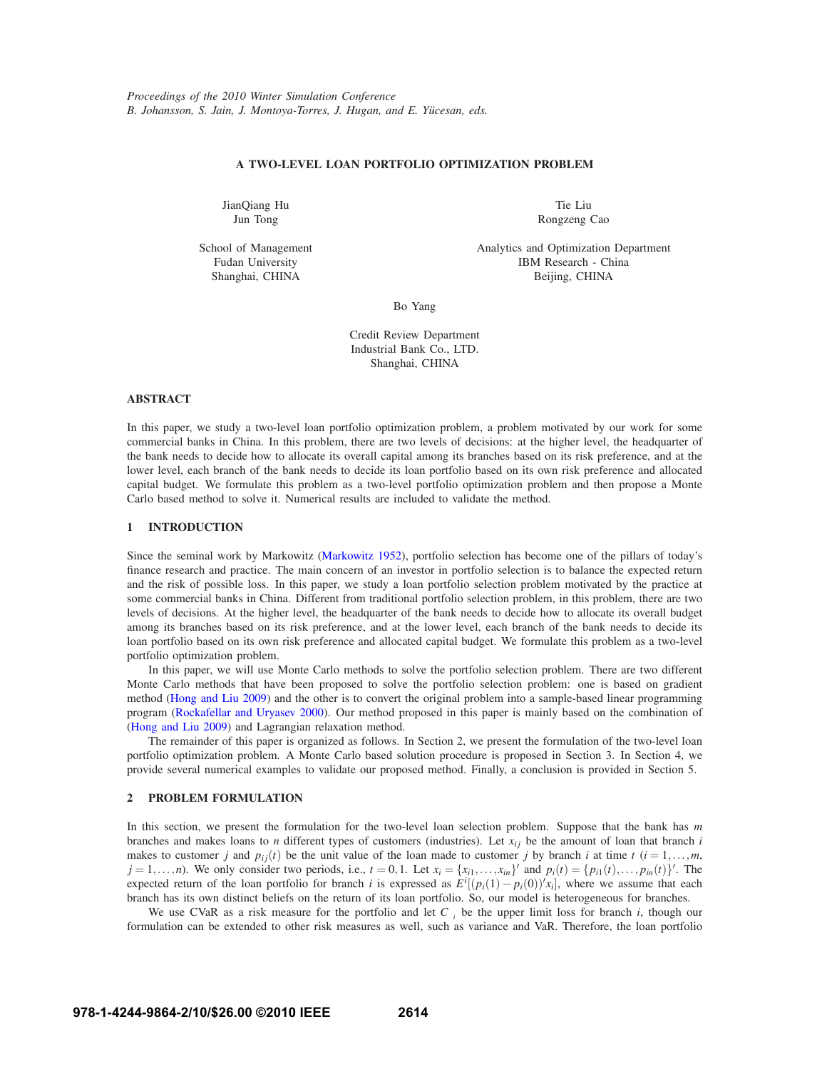## **A TWO-LEVEL LOAN PORTFOLIO OPTIMIZATION PROBLEM**

JianQiang Hu Jun Tong

Tie Liu Rongzeng Cao

School of Management Fudan University Shanghai, CHINA

Analytics and Optimization Department IBM Research - China Beijing, CHINA

Bo Yang

Credit Review Department Industrial Bank Co., LTD. Shanghai, CHINA

## **ABSTRACT**

In this paper, we study a two-level loan portfolio optimization problem, a problem motivated by our work for some commercial banks in China. In this problem, there are two levels of decisions: at the higher level, the headquarter of the bank needs to decide how to allocate its overall capital among its branches based on its risk preference, and at the lower level, each branch of the bank needs to decide its loan portfolio based on its own risk preference and allocated capital budget. We formulate this problem as a two-level portfolio optimization problem and then propose a Monte Carlo based method to solve it. Numerical results are included to validate the method.

# **1 INTRODUCTION**

Since the seminal work by Markowitz (Markowitz 1952), portfolio selection has become one of the pillars of today's finance research and practice. The main concern of an investor in portfolio selection is to balance the expected return and the risk of possible loss. In this paper, we study a loan portfolio selection problem motivated by the practice at some commercial banks in China. Different from traditional portfolio selection problem, in this problem, there are two levels of decisions. At the higher level, the headquarter of the bank needs to decide how to allocate its overall budget among its branches based on its risk preference, and at the lower level, each branch of the bank needs to decide its loan portfolio based on its own risk preference and allocated capital budget. We formulate this problem as a two-level portfolio optimization problem.

In this paper, we will use Monte Carlo methods to solve the portfolio selection problem. There are two different Monte Carlo methods that have been proposed to solve the portfolio selection problem: one is based on gradient method (Hong and Liu 2009) and the other is to convert the original problem into a sample-based linear programming program (Rockafellar and Uryasev 2000). Our method proposed in this paper is mainly based on the combination of (Hong and Liu 2009) and Lagrangian relaxation method.

The remainder of this paper is organized as follows. In Section 2, we present the formulation of the two-level loan portfolio optimization problem. A Monte Carlo based solution procedure is proposed in Section 3. In Section 4, we provide several numerical examples to validate our proposed method. Finally, a conclusion is provided in Section 5.

# **2 PROBLEM FORMULATION**

In this section, we present the formulation for the two-level loan selection problem. Suppose that the bank has *m* branches and makes loans to *n* different types of customers (industries). Let  $x_{ij}$  be the amount of loan that branch *i* makes to customer *j* and  $p_{ij}(t)$  be the unit value of the loan made to customer *j* by branch *i* at time *t* ( $i = 1, \ldots, m$ ,  $j = 1, \ldots, n$ ). We only consider two periods, i.e.,  $t = 0, 1$ . Let  $x_i = \{x_{i1}, \ldots, x_{in}\}'$  and  $p_i(t) = \{p_{i1}(t), \ldots, p_{in}(t)\}'$ . The expected return of the loan portfolio for branch *i* is expressed as  $E^i[(p_i(1)-p_i(0))'x_i]$ , where we assume that each branch has its own distinct beliefs on the return of its loan portfolio. So, our model is heterogeneous for branches.

We use CVaR as a risk measure for the portfolio and let  $C_{\alpha_i}$  be the upper limit loss for branch *i*, though our formulation can be extended to other risk measures as well, such as variance and VaR. Therefore, the loan portfolio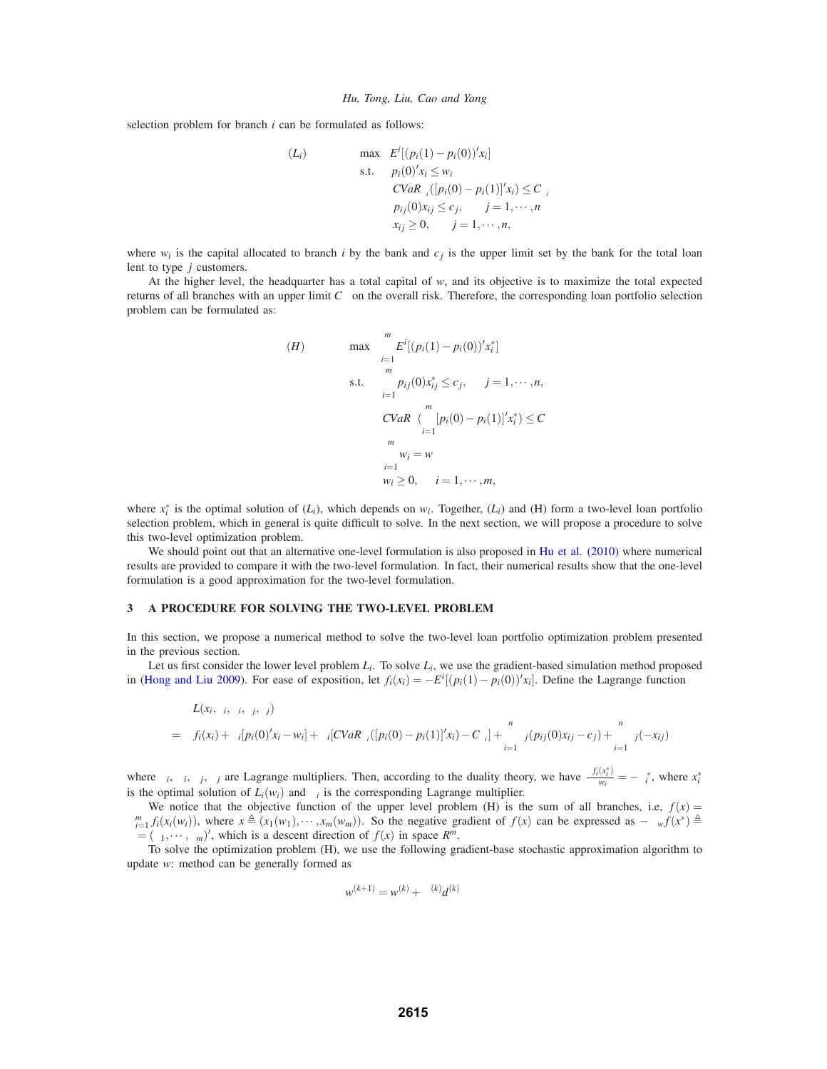selection problem for branch *i* can be formulated as follows:

$$
(L_i) \qquad \max \quad E^i[(p_i(1) - p_i(0))'x_i]
$$
\n
$$
\text{s.t.} \quad p_i(0)'x_i \le w_i
$$
\n
$$
CVaR_{\alpha_i}([p_i(0) - p_i(1)]'x_i) \le C_{\alpha_i}
$$
\n
$$
p_{ij}(0)x_{ij} \le c_j, \quad j = 1, \dots, n
$$
\n
$$
x_{ij} \ge 0, \quad j = 1, \dots, n,
$$

where  $w_i$  is the capital allocated to branch *i* by the bank and  $c_j$  is the upper limit set by the bank for the total loan lent to type *j* customers.

At the higher level, the headquarter has a total capital of *w*, and its objective is to maximize the total expected returns of all branches with an upper limit  $C_{\alpha}$  on the overall risk. Therefore, the corresponding loan portfolio selection problem can be formulated as:

(H) 
$$
\max \sum_{i=1}^{m} E^{i}[(p_{i}(1) - p_{i}(0))'x_{i}^{*}]
$$
  
s.t. 
$$
\sum_{i=1}^{m} p_{ij}(0)x_{ij}^{*} \leq c_{j}, \quad j = 1, \dots, n,
$$

$$
CVaR_{\alpha}(\sum_{i=1}^{m} [p_{i}(0) - p_{i}(1)]'x_{i}^{*}) \leq C_{\alpha}
$$

$$
\sum_{i=1}^{m} w_{i} = w
$$

$$
w_{i} \geq 0, \quad i = 1, \dots, m,
$$

where  $x_i^*$  is the optimal solution of  $(L_i)$ , which depends on  $w_i$ . Together,  $(L_i)$  and  $(H)$  form a two-level loan portfolio selection problem, which in general is quite difficult to solve. In the next section, we will propose a procedure to solve this two-level optimization problem.

We should point out that an alternative one-level formulation is also proposed in Hu et al. (2010) where numerical results are provided to compare it with the two-level formulation. In fact, their numerical results show that the one-level formulation is a good approximation for the two-level formulation.

#### **3 A PROCEDURE FOR SOLVING THE TWO-LEVEL PROBLEM**

In this section, we propose a numerical method to solve the two-level loan portfolio optimization problem presented in the previous section.

Let us first consider the lower level problem *Li*. To solve *Li*, we use the gradient-based simulation method proposed in (Hong and Liu 2009). For ease of exposition, let  $f_i(x_i) = -E^i[(p_i(1) - p_i(0))'x_i]$ . Define the Lagrange function

$$
L(x_i, \lambda_i, \mu_i, \tau_j, \gamma_j)
$$
  
=  $f_i(x_i) + \lambda_i [p_i(0)'x_i - w_i] + \mu_i [CVaR_{\alpha_i}([p_i(0) - p_i(1)]'x_i) - C_{\alpha_i}] + \sum_{i=1}^n \tau_j(p_{ij}(0)x_{ij} - c_j) + \sum_{i=1}^n \gamma_i(-x_{ij})$ 

where  $\lambda_i$ ,  $\mu_i$ ,  $\tau_j$ ,  $\gamma_j$  are Lagrange multipliers. Then, according to the duality theory, we have  $\frac{\partial f_i(x_i^*)}{\partial w_i} = -\lambda_i^*$ , where  $x_i^*$ is the optimal solution of  $L_i(w_i)$  and  $\lambda_i$  is the corresponding Lagrange multiplier.

We notice that the objective function of the upper level problem (H) is the sum of all branches, i.e,  $f(x) =$  $\sum_{i=1}^{m} f_i(x_i(w_i))$ , where  $x \triangleq (x_1(w_1), \dots, x_m(w_m))$ . So the negative gradient of  $f(x)$  can be expressed as  $-\nabla_w f(x^*) \triangleq$  $\lambda = (\lambda_1, \dots, \lambda_m)'$ , which is a descent direction of  $f(x)$  in space  $R^m$ .

To solve the optimization problem (H), we use the following gradient-base stochastic approximation algorithm to update *w*: method can be generally formed as

$$
w^{(k+1)} = w^{(k)} + \alpha^{(k)}d^{(k)}
$$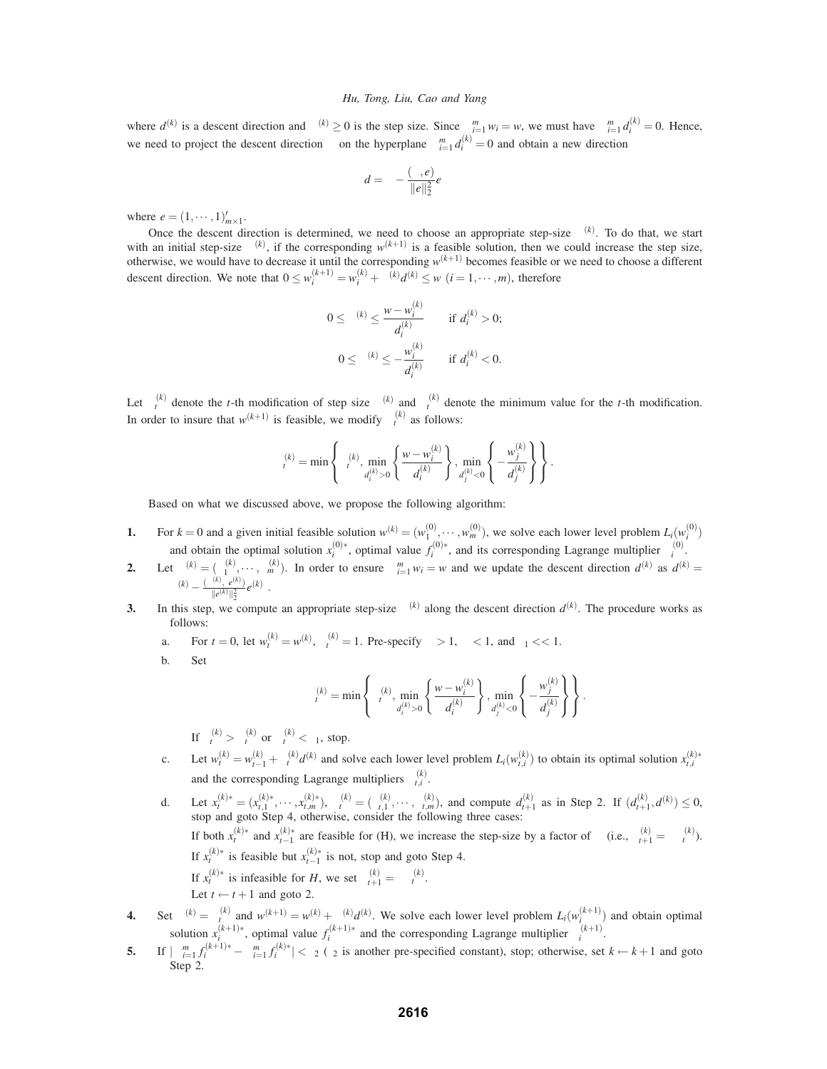where  $d^{(k)}$  is a descent direction and  $\alpha^{(k)} \ge 0$  is the step size. Since  $\sum_{i=1}^{m} w_i = w$ , we must have  $\sum_{i=1}^{m} d_i^{(k)} = 0$ . Hence, we need to project the descent direction  $\lambda$  on the hyperplane  $\sum_{i=1}^{m} d_i^{(k)} = 0$  and obtain a new direction

$$
d = \lambda - \frac{(\lambda, e)}{\|e\|_2^2}e
$$

where  $e = (1, \dots, 1)_{m \times 1}'$ .

Once the descent direction is determined, we need to choose an appropriate step-size  $\alpha^{(k)}$ . To do that, we start with an initial step-size  $\alpha^{(k)}$ , if the corresponding  $w^{(k+1)}$  is a feasible solution, then we could increase the step size, otherwise, we would have to decrease it until the corresponding  $w^{(k+1)}$  becomes feasible or we need to choose a different descent direction. We note that  $0 \le w_i^{(k+1)} = w_i^{(k)} + \alpha^{(k)} d^{(k)} \le w$   $(i = 1, \dots, m)$ , therefore

$$
0 \leq \alpha^{(k)} \leq \frac{w - w_i^{(k)}}{d_i^{(k)}} \quad \text{if } d_i^{(k)} > 0;
$$
  

$$
0 \leq \alpha^{(k)} \leq -\frac{w_i^{(k)}}{d_i^{(k)}} \quad \text{if } d_i^{(k)} < 0.
$$

Let  $\alpha_t^{(k)}$  denote the *t*-th modification of step size  $\alpha^{(k)}$  and  $\beta_t^{(k)}$  denote the minimum value for the *t*-th modification. In order to insure that  $w^{(k+1)}$  is feasible, we modify  $\alpha_t^{(k)}$  as follows:

$$
\alpha_t^{(k)} = \min \left\{ \beta_t^{(k)}, \min_{d_t^{(k)} > 0} \left\{ \frac{w - w_i^{(k)}}{d_t^{(k)}} \right\}, \min_{d_j^{(k)} < 0} \left\{ -\frac{w_j^{(k)}}{d_j^{(k)}} \right\} \right\}.
$$

Based on what we discussed above, we propose the following algorithm:

- **1.** For  $k = 0$  and a given initial feasible solution  $w^{(k)} = (w_1^{(0)}, \dots, w_m^{(0)})$ , we solve each lower level problem  $L_i(w_i^{(0)})$ and obtain the optimal solution  $x_i^{(0)*}$ , optimal value  $f_i^{(0)*}$ , and its corresponding Lagrange multiplier  $\lambda_i^{(0)}$ .
- **2.** Let  $\lambda^{(k)} = (\lambda_1^{(k)}, \dots, \lambda_m^{(k)})$ . In order to ensure  $\sum_{i=1}^m w_i = w$  and we update the descent direction  $d^{(k)}$  as  $d^{(k)} =$  $\lambda^{(k)} - \frac{(\lambda^{(k)}, e^{(k)})}{\|e^{(k)}\|_2^2}e^{(k)}$ .
- **3.** In this step, we compute an appropriate step-size  $\alpha^{(k)}$  along the descent direction  $d^{(k)}$ . The procedure works as follows:
	- a. For  $t = 0$ , let  $w_t^{(k)} = w^{(k)}$ ,  $\beta_t^{(k)} = 1$ . Pre-specify  $\eta > 1$ ,  $\sigma < 1$ , and  $\varepsilon_1 < 1$ .
	- b. Set

$$
\alpha_{\text{r}}^{(k)} = \min\left\{\beta_{\text{r}}^{(k)}, \min_{d_{\text{i}}^{(k)} > 0} \left\{\frac{w - w_{\text{i}}^{(k)}}{d_{\text{i}}^{(k)}}\right\}, \min_{d_{\text{j}}^{(k)} < 0} \left\{-\frac{w_{\text{j}}^{(k)}}{d_{\text{j}}^{(k)}}\right\}\right\}.
$$

If  $\beta_t^{(k)} > \alpha_t^{(k)}$  or  $\alpha_t^{(k)} < \varepsilon_1$ , stop.

- c. Let  $w_t^{(k)} = w_{t-1}^{(k)} + \alpha_t^{(k)} d^{(k)}$  and solve each lower level problem  $L_i(w_{t,i}^{(k)})$  to obtain its optimal solution  $x_{t,i}^{(k)*}$ and the corresponding Lagrange multipliers  $\lambda_{t,i}^{(k)}$ .
- d. Let  $x_t^{(k)*} = (x_{t,1}^{(k)*}, \dots, x_{t,m}^{(k)*}), \lambda_t^{(k)} = (\lambda_{t,1}^{(k)}, \dots, \lambda_{t,m}^{(k)}),$  and compute  $d_{t+1}^{(k)}$  as in Step 2. If  $(d_{t+1}^{(k)}, d^{(k)}) \le 0$ , stop and goto Step 4, otherwise, consider the following three cases: If both  $x_t^{(k)*}$  and  $x_{t-1}^{(k)*}$  are feasible for (H), we increase the step-size by a factor of  $\eta$  (i.e.,  $\beta_{t+1}^{(k)} = \eta \beta_t^{(k)}$ ). If  $x_t^{(k)*}$  is feasible but  $x_{t-1}^{(k)*}$  is not, stop and goto Step 4. If  $x_t^{(k)*}$  is infeasible for *H*, we set  $\beta_{t+1}^{(k)} = \sigma \beta_t^{(k)}$ . Let  $t \leftarrow t + 1$  and goto 2.
- **4.** Set  $\alpha^{(k)} = \alpha^{(k)}_t$  and  $w^{(k+1)} = w^{(k)} + \alpha^{(k)} d^{(k)}$ . We solve each lower level problem  $L_i(w_i^{(k+1)})$  and obtain optimal solution  $x_i^{(k+1)*}$ , optimal value  $f_i^{(k+1)*}$  and the corresponding Lagrange multiplier  $\lambda_i^{(k+1)}$ .
- **5.** If  $|\sum_{i=1}^{m} f_i^{(k+1)*} \sum_{i=1}^{m} f_i^{(k)*}| < \varepsilon_2$  ( $\varepsilon_2$  is another pre-specified constant), stop; otherwise, set  $k \leftarrow k+1$  and goto Step<sub>2</sub>.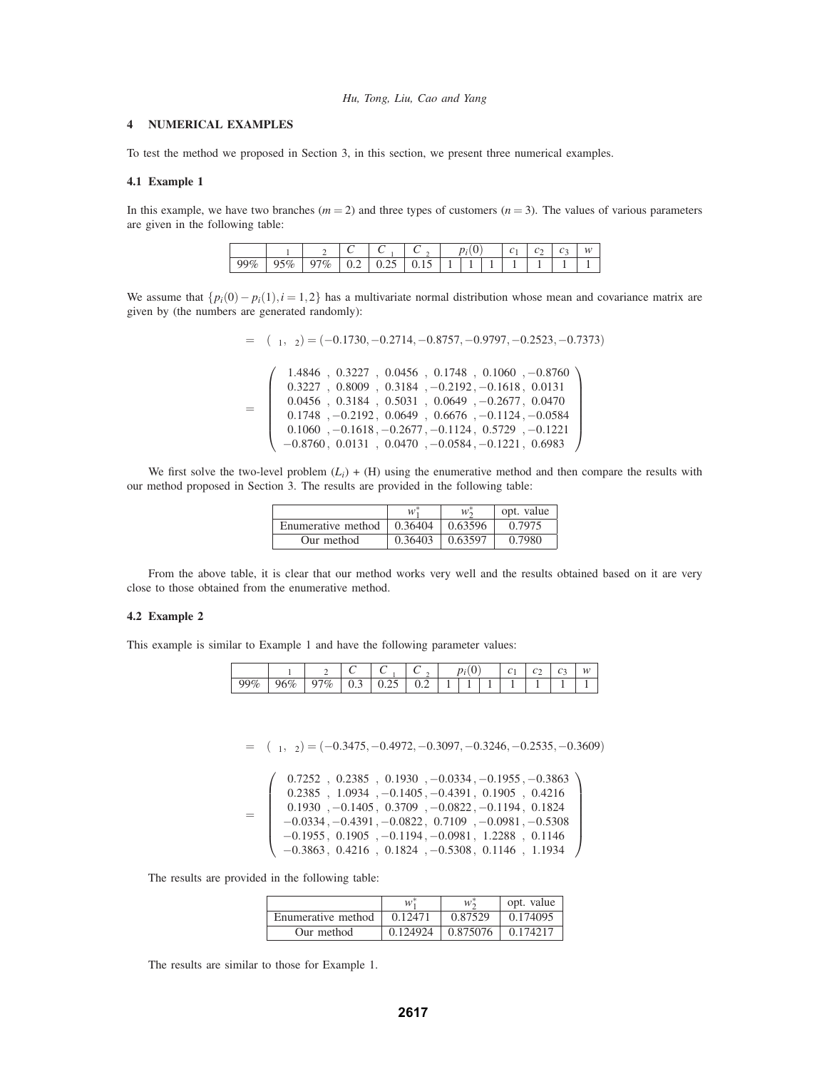# **4 NUMERICAL EXAMPLES**

To test the method we proposed in Section 3, in this section, we present three numerical examples.

## **4.1 Example 1**

In this example, we have two branches  $(m = 2)$  and three types of customers  $(n = 3)$ . The values of various parameters are given in the following table:

| u        | u        | $\alpha_2$       | $\sim$<br>◡<br>u        | $\sim$<br>$\alpha$      | $\sim$<br>∸ | $\mathbf{r}$<br>ິ | ◡ | $\sim$<br>◡ | w |
|----------|----------|------------------|-------------------------|-------------------------|-------------|-------------------|---|-------------|---|
| QQQ<br>% | 501<br>U | $\%$<br>$\Omega$ | $\mathsf{u}.\mathsf{v}$ | $\mathsf{v}.\mathsf{v}$ | ◡.ェ◡        | -                 |   |             |   |

We assume that  $\{p_i(0) - p_i(1), i = 1, 2\}$  has a multivariate normal distribution whose mean and covariance matrix are given by (the numbers are generated randomly):

$$
\mu = (\mu_1, \mu_2) = (-0.1730, -0.2714, -0.8757, -0.9797, -0.2523, -0.7373)
$$
\n
$$
\Omega = \begin{pmatrix}\n1.4846 & 0.3227 & 0.0456 & 0.1748 & 0.1060 & -0.8760 \\
0.3227 & 0.8009 & 0.3184 & -0.2192 & -0.1618 & 0.0131 \\
0.0456 & 0.3184 & 0.5031 & 0.0649 & -0.2677 & 0.0470 \\
0.1748 & -0.2192 & 0.0649 & 0.6676 & -0.1124 & -0.0584 \\
0.1060 & -0.1618 & -0.2677 & -0.1124 & 0.5729 & -0.1221 \\
-0.8760 & 0.0131 & 0.0470 & -0.0584 & -0.1221 & 0.6983\n\end{pmatrix}
$$

We first solve the two-level problem  $(L_i) + (H)$  using the enumerative method and then compare the results with our method proposed in Section 3. The results are provided in the following table:

|                    | w       | $W_2^*$ | opt. value |
|--------------------|---------|---------|------------|
| Enumerative method | 0.36404 | 0.63596 | 0.7975     |
| Our method         | 0.36403 | 0.63597 | 0.7980     |

From the above table, it is clear that our method works very well and the results obtained based on it are very close to those obtained from the enumerative method.

## **4.2 Example 2**

This example is similar to Example 1 and have the following parameter values:

| $\sim$<br>u | $\mathbf{v}$ | $\alpha_2$ | $\sim$<br>α<br>֊ | $\sim$<br>U<br>$\boldsymbol{\alpha}$ | $\alpha$<br>$\check{ }$<br>∼ | $-$ 30 $+$ 30 $+$ 30 $+$<br>ັ | U | ັ<br>- | ັ<br> | w |
|-------------|--------------|------------|------------------|--------------------------------------|------------------------------|-------------------------------|---|--------|-------|---|
| 99%         | 96<br>6%     | $\%$<br>u  | v.J              | ∪.∠J                                 | v.∠                          |                               |   |        |       |   |

$$
\mu = (\mu_1, \mu_2) = (-0.3475, -0.4972, -0.3097, -0.3246, -0.2535, -0.3609)
$$

|            | $0.7252$ , $0.2385$ , $0.1930$ , $-0.0334$ , $-0.1955$ , $-0.3863$                                        |
|------------|-----------------------------------------------------------------------------------------------------------|
|            | $0.2385$ , $1.0934$ , $-0.1405$ , $-0.4391$ , $0.1905$ , $0.4216$                                         |
| $\Omega$ = | $0.1930$ , $-0.1405$ , $0.3709$ , $-0.0822$ , $-0.1194$ , $0.1824$                                        |
|            | $-0.0334, -0.4391, -0.0822, 0.7109, -0.0981, -0.5308$                                                     |
|            | $-0.1955, 0.1905, -0.1194, -0.0981, 1.2288, 0.1146$                                                       |
|            | $\left( \begin{array}{cc} -0.3863, & 0.4216, & 0.1824, & -0.5308, & 0.1146, & 1.1934 \end{array} \right)$ |

The results are provided in the following table:

|                    | $w^*$    | $W_{\mathbf{a}}$ | opt. value |
|--------------------|----------|------------------|------------|
| Enumerative method | 0.12471  | 0.87529          | 0.174095   |
| Our method         | 0.124924 | 0.875076         | 0.174217   |

The results are similar to those for Example 1.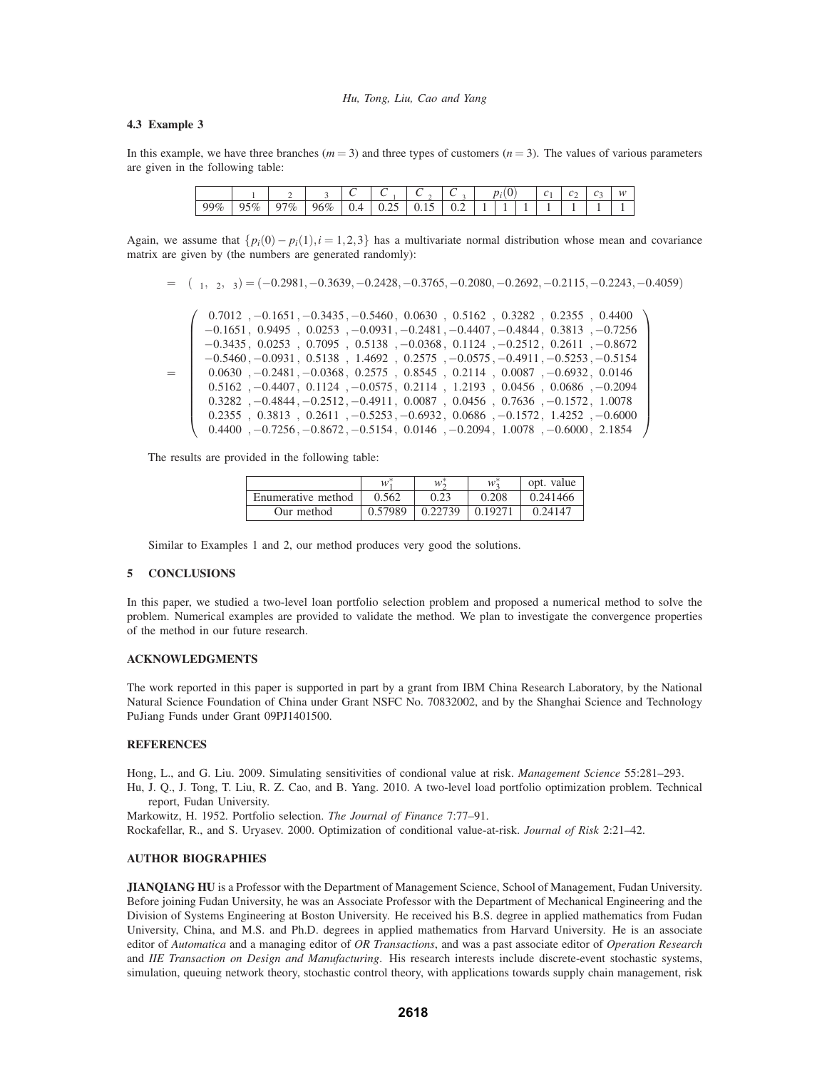# **4.3 Example 3**

In this example, we have three branches  $(m=3)$  and three types of customers  $(n=3)$ . The values of various parameters are given in the following table:

| ື   | α   | w<br> | $\sim$<br>$\alpha_3$ | $\mathsf{c}_\alpha$ | $\sim$<br>u | $\alpha$<br><b>_</b> | $\cup_{\alpha_2}$ | $\sim$<br>$p_i($<br>v | v | ັ<br>- | r.<br>◡ | w |
|-----|-----|-------|----------------------|---------------------|-------------|----------------------|-------------------|-----------------------|---|--------|---------|---|
| 99% | 95% | 97%   | 96%<br>v             | $\Delta$<br>v.4     | - -<br>∪.∠J | <u>v. i J</u>        | <u>.</u>          |                       |   |        |         |   |

Again, we assume that  $\{p_i(0) - p_i(1), i = 1, 2, 3\}$  has a multivariate normal distribution whose mean and covariance matrix are given by (the numbers are generated randomly):

$$
\mu = (\mu_1, \mu_2, \mu_3) = (-0.2981, -0.3639, -0.2428, -0.3765, -0.2080, -0.2692, -0.2115, -0.2243, -0.4059)
$$

|            | $0.7012$ , $-0.1651$ , $-0.3435$ , $-0.5460$ , $0.0630$ , $0.5162$ , $0.3282$ , $0.2355$ , $0.4400$   |
|------------|-------------------------------------------------------------------------------------------------------|
|            | $-0.1651, 0.9495, 0.0253, -0.0931, -0.2481, -0.4407, -0.4844, 0.3813, -0.7256$                        |
|            | $-0.3435, 0.0253, 0.7095, 0.5138, -0.0368, 0.1124, -0.2512, 0.2611, -0.8672$                          |
|            | $-0.5460, -0.0931, 0.5138, 1.4692, 0.2575, -0.0575, -0.4911, -0.5253, -0.5154$                        |
| $\Omega =$ | $0.0630$ , $-0.2481$ , $-0.0368$ , $0.2575$ , $0.8545$ , $0.2114$ , $0.0087$ , $-0.6932$ , $0.0146$   |
|            | $0.5162$ , $-0.4407$ , $0.1124$ , $-0.0575$ , $0.2114$ , $1.2193$ , $0.0456$ , $0.0686$ , $-0.2094$   |
|            | $0.3282$ , $-0.4844$ , $-0.2512$ , $-0.4911$ , $0.0087$ , $0.0456$ , $0.7636$ , $-0.1572$ , $1.0078$  |
|            | $0.2355$ , $0.3813$ , $0.2611$ , $-0.5253$ , $-0.6932$ , $0.0686$ , $-0.1572$ , $1.4252$ , $-0.6000$  |
|            | $0.4400$ , $-0.7256$ , $-0.8672$ , $-0.5154$ , $0.0146$ , $-0.2094$ , $1.0078$ , $-0.6000$ , $2.1854$ |

The results are provided in the following table:

|                    |         | $w^*$   | $W_2^*$ | opt. value |
|--------------------|---------|---------|---------|------------|
| Enumerative method | 0.562   | 0.23    | 0.208   | 0.241466   |
| Our method         | 0.57989 | 0.22739 | 0.19271 | 0.24147    |

Similar to Examples 1 and 2, our method produces very good the solutions.

## **5 CONCLUSIONS**

In this paper, we studied a two-level loan portfolio selection problem and proposed a numerical method to solve the problem. Numerical examples are provided to validate the method. We plan to investigate the convergence properties of the method in our future research.

## **ACKNOWLEDGMENTS**

The work reported in this paper is supported in part by a grant from IBM China Research Laboratory, by the National Natural Science Foundation of China under Grant NSFC No. 70832002, and by the Shanghai Science and Technology PuJiang Funds under Grant 09PJ1401500.

# **REFERENCES**

Hong, L., and G. Liu. 2009. Simulating sensitivities of condional value at risk. *Management Science* 55:281–293.

Hu, J. Q., J. Tong, T. Liu, R. Z. Cao, and B. Yang. 2010. A two-level load portfolio optimization problem. Technical report, Fudan University.

Markowitz, H. 1952. Portfolio selection. *The Journal of Finance* 7:77–91.

Rockafellar, R., and S. Uryasev. 2000. Optimization of conditional value-at-risk. *Journal of Risk* 2:21–42.

#### **AUTHOR BIOGRAPHIES**

**JIANQIANG HU** is a Professor with the Department of Management Science, School of Management, Fudan University. Before joining Fudan University, he was an Associate Professor with the Department of Mechanical Engineering and the Division of Systems Engineering at Boston University. He received his B.S. degree in applied mathematics from Fudan University, China, and M.S. and Ph.D. degrees in applied mathematics from Harvard University. He is an associate editor of *Automatica* and a managing editor of *OR Transactions*, and was a past associate editor of *Operation Research* and *IIE Transaction on Design and Manufacturing*. His research interests include discrete-event stochastic systems, simulation, queuing network theory, stochastic control theory, with applications towards supply chain management, risk